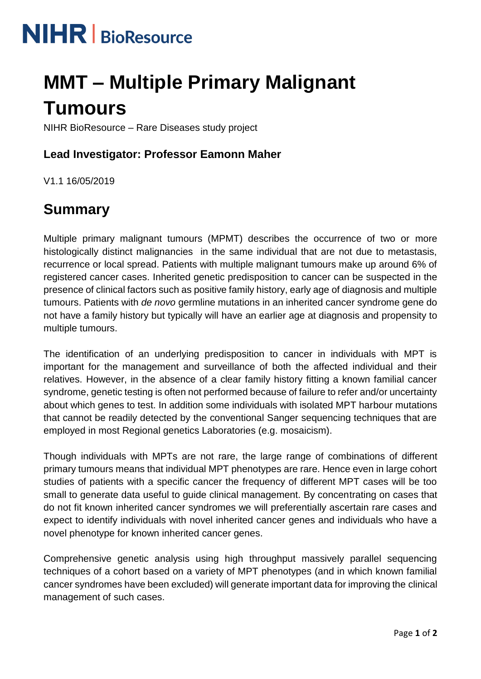

# **MMT – Multiple Primary Malignant Tumours**

NIHR BioResource – Rare Diseases study project

## **Lead Investigator: Professor Eamonn Maher**

V1.1 16/05/2019

## **Summary**

Multiple primary malignant tumours (MPMT) describes the occurrence of two or more histologically distinct malignancies in the same individual that are not due to metastasis, recurrence or local spread. Patients with multiple malignant tumours make up around 6% of registered cancer cases. Inherited genetic predisposition to cancer can be suspected in the presence of clinical factors such as positive family history, early age of diagnosis and multiple tumours. Patients with *de novo* germline mutations in an inherited cancer syndrome gene do not have a family history but typically will have an earlier age at diagnosis and propensity to multiple tumours.

The identification of an underlying predisposition to cancer in individuals with MPT is important for the management and surveillance of both the affected individual and their relatives. However, in the absence of a clear family history fitting a known familial cancer syndrome, genetic testing is often not performed because of failure to refer and/or uncertainty about which genes to test. In addition some individuals with isolated MPT harbour mutations that cannot be readily detected by the conventional Sanger sequencing techniques that are employed in most Regional genetics Laboratories (e.g. mosaicism).

Though individuals with MPTs are not rare, the large range of combinations of different primary tumours means that individual MPT phenotypes are rare. Hence even in large cohort studies of patients with a specific cancer the frequency of different MPT cases will be too small to generate data useful to guide clinical management. By concentrating on cases that do not fit known inherited cancer syndromes we will preferentially ascertain rare cases and expect to identify individuals with novel inherited cancer genes and individuals who have a novel phenotype for known inherited cancer genes.

Comprehensive genetic analysis using high throughput massively parallel sequencing techniques of a cohort based on a variety of MPT phenotypes (and in which known familial cancer syndromes have been excluded) will generate important data for improving the clinical management of such cases.